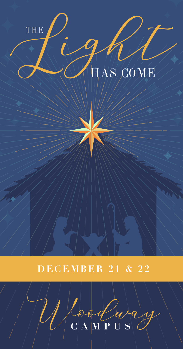# THE HAS COME



### **DECEMBER 21 & 22**

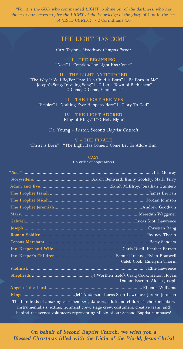"For it is the GOD who commanded LIGHT to shine out of the darkness, who has shone in our hearts to give the LIGHT of the knowledge of the glory of God in the face of JESUS CHRIST." - 2 Corinthians 4:6

#### THE LIGHT HAS COME

Curt Taylor – Woodway Campus Pastor

**I - THE BEGINNING** "Noel" | "Creation/The Light Has Come"

**II – THE LIGHT ANTICIPATED** "The Way It Will Be/For Unto Us a Child is Born" | "Be Born in Me" "Joseph's Song/Traveling Song" | "O Little Town of Bethlehem" "O Come, O Come, Emmanuel"

**III – THE LIGHT ARRIVES** "Rejoice" | "Nothing Ever Happens Here" | "Glory To God"

> **IV – THE LIGHT ADORED** "King of Kings" | "O Holy Night"

Dr. Young - Pastor, Second Baptist Church

**V – THE FINALE** "Christ is Born" | "The Light Has Come/O Come Let Us Adore Him"

#### CAST

(in order of appearance)

|                                                                                                                                                                                                                                                               | Caleb Cook, Emelynn Thorin  |
|---------------------------------------------------------------------------------------------------------------------------------------------------------------------------------------------------------------------------------------------------------------|-----------------------------|
|                                                                                                                                                                                                                                                               |                             |
|                                                                                                                                                                                                                                                               | Damon Barrett, Akash Joseph |
|                                                                                                                                                                                                                                                               |                             |
|                                                                                                                                                                                                                                                               |                             |
| The hundreds of amazing cast members, dancers, adult and children's choir members<br>instrumentalists, extras, technical crew, stage crew, costumers, creative team, and<br>behind-the-scenes volunteers representing all six of our Second Baptist campuses! |                             |

**On behalf of Second Baptist Church, we wish you a Blessed Christmas filled with the Light of the World, Jesus Christ!**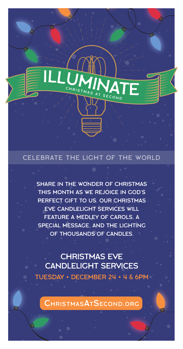#### CELEBRATE THE LIGHT OF THE WORLD

CHRISTMAS AT SECOND

SHARE IN THE WONDER OF CHRISTMAS THIS MONTH AS WE REJOICE IN GOD'S PERFECT GIFT TO US. OUR CHRISTMAS EVE CANDLELIGHT SERVICES WILL FEATURE A MEDLEY OF CAROLS, A SPECIAL MESSAGE, AND THE LIGHTING OF THOUSANDS OF CANDLES.

CHRISTMAS EVE CANDLELIGHT SERVICES TUESDAY • DECEMBER 24 • 4 & 6PM

CHRISTMASATSECOND.ORG